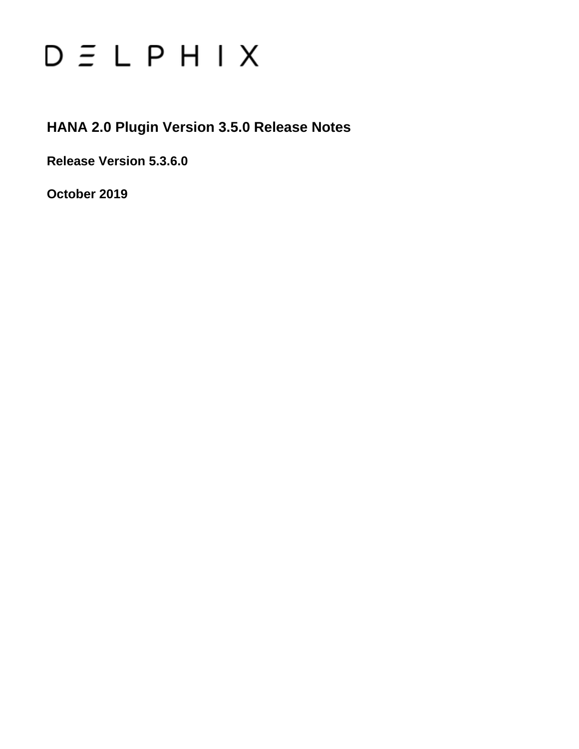# $D \subseteq L$   $P$   $H$   $I$   $X$

## **HANA 2.0 Plugin Version 3.5.0 Release Notes**

**Release Version 5.3.6.0**

**October 2019**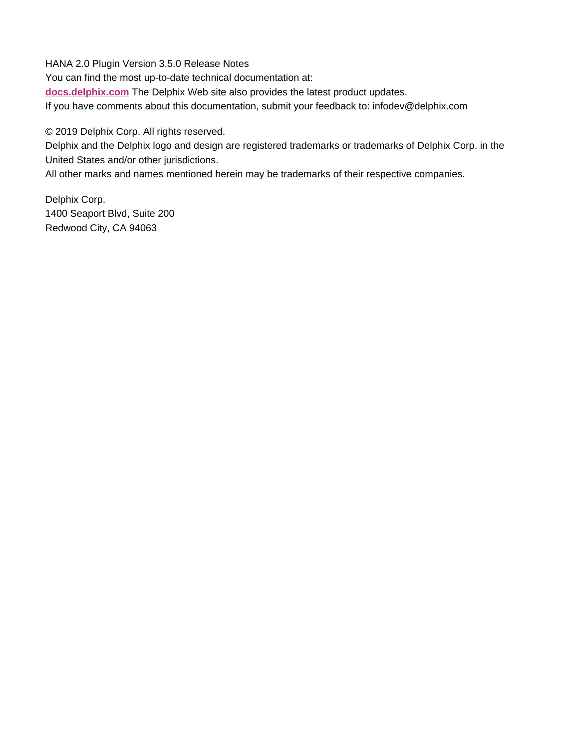HANA 2.0 Plugin Version 3.5.0 Release Notes You can find the most up-to-date technical documentation at: **[docs.delphix.com](http://docs.delphix.com)** The Delphix Web site also provides the latest product updates. If you have comments about this documentation, submit your feedback to: infodev@delphix.com

© 2019 Delphix Corp. All rights reserved.

Delphix and the Delphix logo and design are registered trademarks or trademarks of Delphix Corp. in the United States and/or other jurisdictions.

All other marks and names mentioned herein may be trademarks of their respective companies.

Delphix Corp. 1400 Seaport Blvd, Suite 200 Redwood City, CA 94063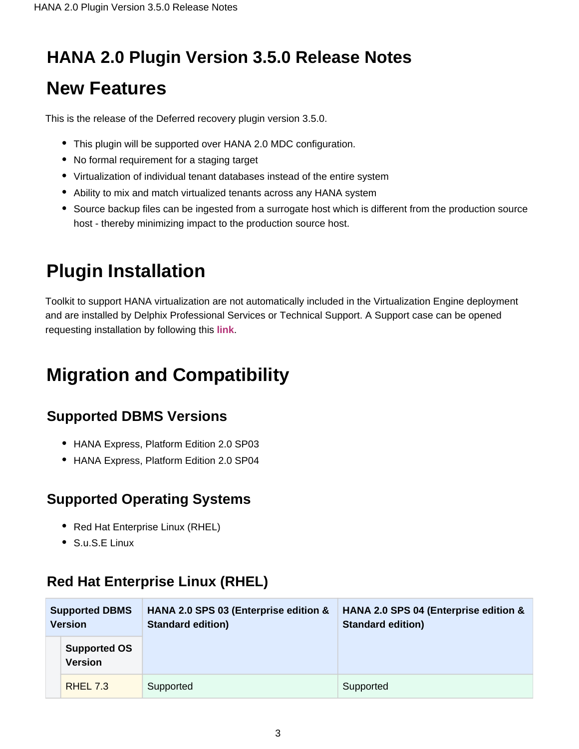## **HANA 2.0 Plugin Version 3.5.0 Release Notes**

## **New Features**

This is the release of the Deferred recovery plugin version 3.5.0.

- This plugin will be supported over HANA 2.0 MDC configuration.
- No formal requirement for a staging target
- Virtualization of individual tenant databases instead of the entire system
- Ability to mix and match virtualized tenants across any HANA system
- Source backup files can be ingested from a surrogate host which is different from the production source host - thereby minimizing impact to the production source host.

# **Plugin Installation**

Toolkit to support HANA virtualization are not automatically included in the Virtualization Engine deployment and are installed by Delphix Professional Services or Technical Support. A Support case can be opened requesting installation by following this **[link](http://support-tickets.delphix.com/)**.

# **Migration and Compatibility**

#### **Supported DBMS Versions**

- HANA Express, Platform Edition 2.0 SP03
- HANA Express, Platform Edition 2.0 SP04

### **Supported Operating Systems**

- Red Hat Enterprise Linux (RHEL)
- S.u.S.E Linux

### **Red Hat Enterprise Linux (RHEL)**

| <b>Supported DBMS</b><br><b>Version</b> |                                       | HANA 2.0 SPS 03 (Enterprise edition &<br><b>Standard edition)</b> | HANA 2.0 SPS 04 (Enterprise edition &<br><b>Standard edition)</b> |  |
|-----------------------------------------|---------------------------------------|-------------------------------------------------------------------|-------------------------------------------------------------------|--|
|                                         | <b>Supported OS</b><br><b>Version</b> |                                                                   |                                                                   |  |
|                                         | <b>RHEL 7.3</b>                       | Supported                                                         | Supported                                                         |  |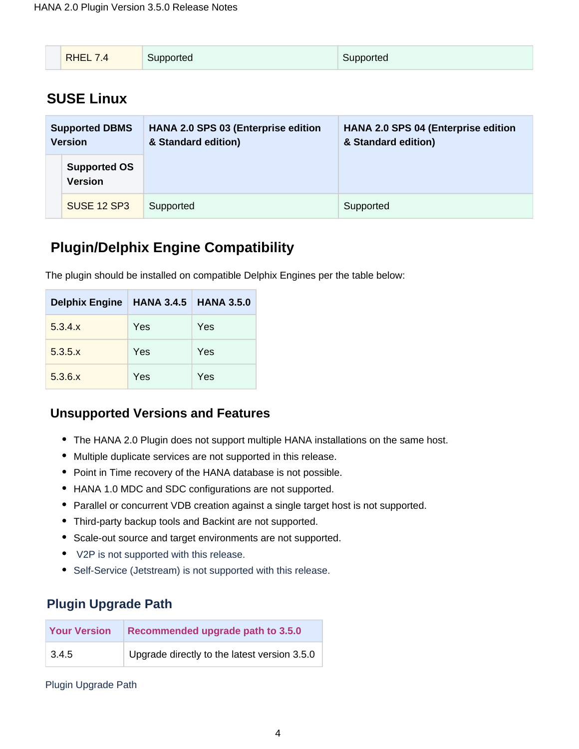| $\Delta$<br>pupportea<br>⊡ροπeα |
|---------------------------------|
|---------------------------------|

#### **SUSE Linux**

| <b>Supported DBMS</b><br><b>Version</b> |                                       | <b>HANA 2.0 SPS 03 (Enterprise edition</b><br>& Standard edition) | <b>HANA 2.0 SPS 04 (Enterprise edition</b><br>& Standard edition) |
|-----------------------------------------|---------------------------------------|-------------------------------------------------------------------|-------------------------------------------------------------------|
|                                         | <b>Supported OS</b><br><b>Version</b> |                                                                   |                                                                   |
|                                         | <b>SUSE 12 SP3</b>                    | Supported                                                         | Supported                                                         |

#### **Plugin/Delphix Engine Compatibility**

The plugin should be installed on compatible Delphix Engines per the table below:

| Delphix Engine   HANA 3.4.5 |     | <b>HANA 3.5.0</b> |
|-----------------------------|-----|-------------------|
| 5.3.4.x                     | Yes | Yes               |
| $5.3.5 \times$              | Yes | Yes               |
| 5.3.6.x                     | Yes | Yes               |

#### **Unsupported Versions and Features**

- The HANA 2.0 Plugin does not support multiple HANA installations on the same host.
- Multiple duplicate services are not supported in this release.
- Point in Time recovery of the HANA database is not possible.
- HANA 1.0 MDC and SDC configurations are not supported.
- Parallel or concurrent VDB creation against a single target host is not supported.
- Third-party backup tools and Backint are not supported.
- Scale-out source and target environments are not supported.
- V2P is not supported with this release.
- Self-Service (Jetstream) is not supported with this release.

#### **Plugin Upgrade Path**

| <b>Your Version</b> | Recommended upgrade path to 3.5.0            |  |
|---------------------|----------------------------------------------|--|
| 3.4.5               | Upgrade directly to the latest version 3.5.0 |  |

Plugin Upgrade Path